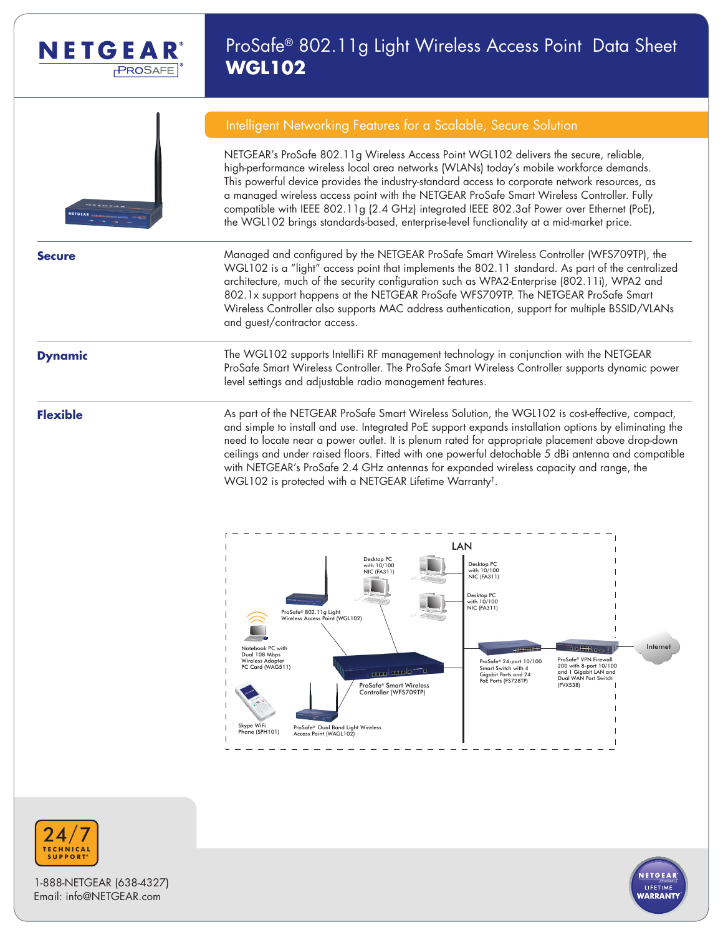

# ProSafe® 802.11g Light Wireless Access Point Data Sheet **WGL102**

NETGEAR's ProSafe 802.11g Wireless Access Point WGL102 delivers the secure, reliable, high-performance wireless local area networks (WLANs) today's mobile workforce demands. This powerful device provides the industry-standard access to corporate network resources, as a managed wireless access point with the NETGEAR ProSafe Smart Wireless Controller. Fully compatible with IEEE 802.11g (2.4 GHz) integrated IEEE 802.3af Power over Ethernet (PoE), the WGL102 brings standards-based, enterprise-level functionality at a mid-market price.

Intelligent Networking Features for a Scalable, Secure Solution



**Secure** Managed and configured by the NETGEAR ProSafe Smart Wireless Controller (WFS709TP), the WGL102 is a "light" access point that implements the 802.11 standard. As part of the centralized architecture, much of the security configuration such as WPA2-Enterprise (802.11i), WPA2 and 802.1x support happens at the NETGEAR ProSafe WFS709TP. The NETGEAR ProSafe Smart Wireless Controller also supports MAC address authentication, support for multiple BSSID/VLANs and guest/contractor access.

**Dynamic** The WGL102 supports IntelliFi RF management technology in conjunction with the NETGEAR ProSafe Smart Wireless Controller. The ProSafe Smart Wireless Controller supports dynamic power level settings and adjustable radio management features.

**Flexible** As part of the NETGEAR ProSafe Smart Wireless Solution, the WGL102 is cost-effective, compact, and simple to install and use. Integrated PoE support expands installation options by eliminating the need to locate near a power outlet. It is plenum rated for appropriate placement above drop-down ceilings and under raised floors. Fitted with one powerful detachable 5 dBi antenna and compatible with NETGEAR's ProSafe 2.4 GHz antennas for expanded wireless capacity and range, the WGL102 is protected with a NETGEAR Lifetime Warranty†.





1-888-NETGEAR (638-4327) Email: info@NETGEAR.com